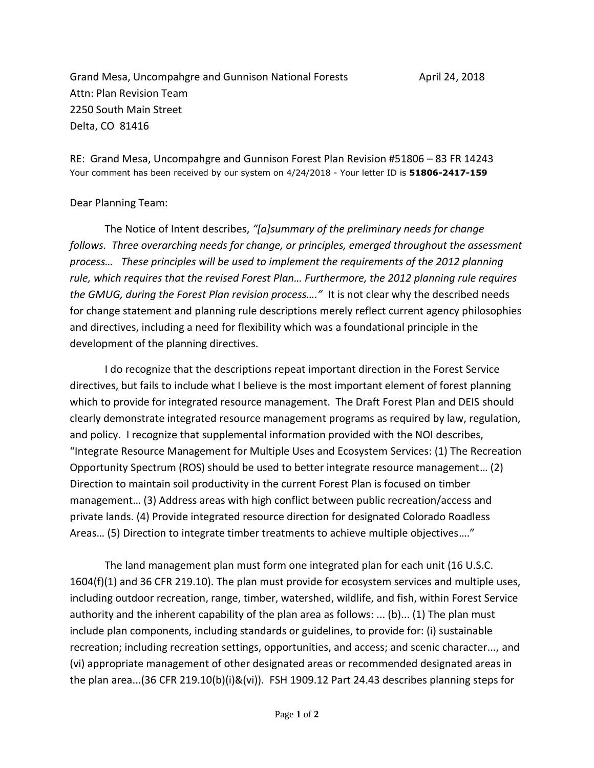Grand Mesa, Uncompahgre and Gunnison National Forests **April 24, 2018** Attn: Plan Revision Team 2250 South Main Street Delta, CO 81416

RE: Grand Mesa, Uncompahgre and Gunnison Forest Plan Revision #51806 – 83 FR 14243 Your comment has been received by our system on 4/24/2018 - Your letter ID is **51806-2417-159**

## Dear Planning Team:

The Notice of Intent describes, *"[a]summary of the preliminary needs for change follows. Three overarching needs for change, or principles, emerged throughout the assessment process… These principles will be used to implement the requirements of the 2012 planning rule, which requires that the revised Forest Plan… Furthermore, the 2012 planning rule requires the GMUG, during the Forest Plan revision process…."* It is not clear why the described needs for change statement and planning rule descriptions merely reflect current agency philosophies and directives, including a need for flexibility which was a foundational principle in the development of the planning directives.

I do recognize that the descriptions repeat important direction in the Forest Service directives, but fails to include what I believe is the most important element of forest planning which to provide for integrated resource management. The Draft Forest Plan and DEIS should clearly demonstrate integrated resource management programs as required by law, regulation, and policy. I recognize that supplemental information provided with the NOI describes, "Integrate Resource Management for Multiple Uses and Ecosystem Services: (1) The Recreation Opportunity Spectrum (ROS) should be used to better integrate resource management… (2) Direction to maintain soil productivity in the current Forest Plan is focused on timber management… (3) Address areas with high conflict between public recreation/access and private lands. (4) Provide integrated resource direction for designated Colorado Roadless Areas… (5) Direction to integrate timber treatments to achieve multiple objectives…."

The land management plan must form one integrated plan for each unit (16 U.S.C. 1604(f)(1) and 36 CFR 219.10). The plan must provide for ecosystem services and multiple uses, including outdoor recreation, range, timber, watershed, wildlife, and fish, within Forest Service authority and the inherent capability of the plan area as follows: ... (b)... (1) The plan must include plan components, including standards or guidelines, to provide for: (i) sustainable recreation; including recreation settings, opportunities, and access; and scenic character..., and (vi) appropriate management of other designated areas or recommended designated areas in the plan area...(36 CFR 219.10(b)(i)&(vi)). FSH 1909.12 Part 24.43 describes planning steps for